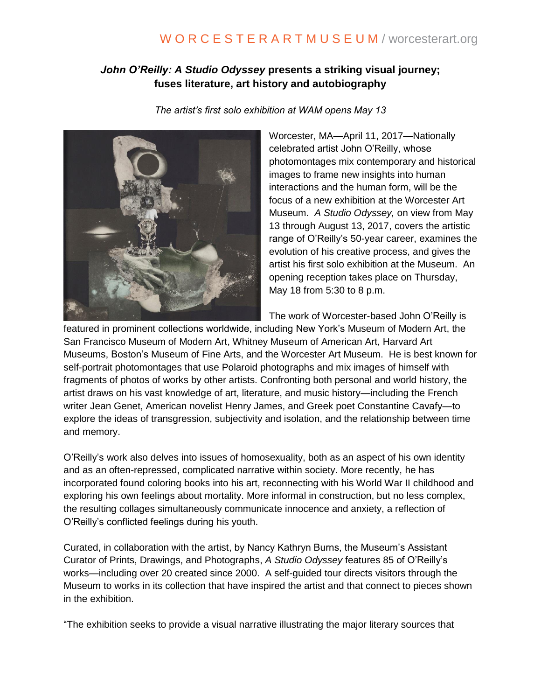## W O R C E S T E R A R T M U S E U M / worcesterart.org

## *John O'Reilly: A Studio Odyssey* **presents a striking visual journey; fuses literature, art history and autobiography**

*The artist's first solo exhibition at WAM opens May 13*



Worcester, MA—April 11, 2017—Nationally celebrated artist John O'Reilly, whose photomontages mix contemporary and historical images to frame new insights into human interactions and the human form, will be the focus of a new exhibition at the Worcester Art Museum. *A Studio Odyssey,* on view from May 13 through August 13, 2017, covers the artistic range of O'Reilly's 50-year career, examines the evolution of his creative process, and gives the artist his first solo exhibition at the Museum. An opening reception takes place on Thursday, May 18 from 5:30 to 8 p.m.

The work of Worcester-based John O'Reilly is

featured in prominent collections worldwide, including New York's Museum of Modern Art, the San Francisco Museum of Modern Art, Whitney Museum of American Art, Harvard Art Museums, Boston's Museum of Fine Arts, and the Worcester Art Museum. He is best known for self-portrait photomontages that use Polaroid photographs and mix images of himself with fragments of photos of works by other artists. Confronting both personal and world history, the artist draws on his vast knowledge of art, literature, and music history—including the French writer Jean Genet, American novelist Henry James, and Greek poet Constantine Cavafy—to explore the ideas of transgression, subjectivity and isolation, and the relationship between time and memory.

O'Reilly's work also delves into issues of homosexuality, both as an aspect of his own identity and as an often-repressed, complicated narrative within society. More recently, he has incorporated found coloring books into his art, reconnecting with his World War II childhood and exploring his own feelings about mortality. More informal in construction, but no less complex, the resulting collages simultaneously communicate innocence and anxiety, a reflection of O'Reilly's conflicted feelings during his youth.

Curated, in collaboration with the artist, by Nancy Kathryn Burns, the Museum's Assistant Curator of Prints, Drawings, and Photographs, *A Studio Odyssey* features 85 of O'Reilly's works—including over 20 created since 2000. A self-guided tour directs visitors through the Museum to works in its collection that have inspired the artist and that connect to pieces shown in the exhibition.

"The exhibition seeks to provide a visual narrative illustrating the major literary sources that